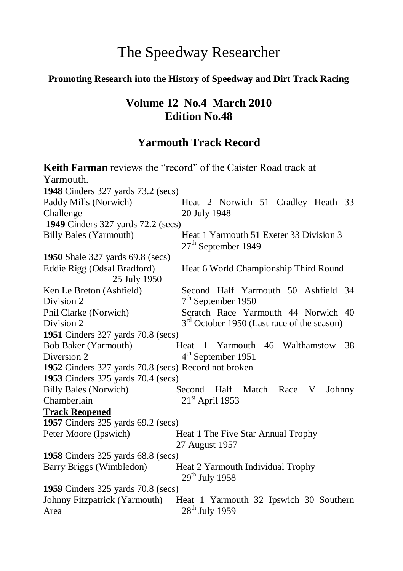# The Speedway Researcher

### **Promoting Research into the History of Speedway and Dirt Track Racing**

## **Volume 12 No.4 March 2010 Edition No.48**

# **Yarmouth Track Record**

|                                                      | <b>Keith Farman</b> reviews the "record" of the Caister Road track at |  |  |  |
|------------------------------------------------------|-----------------------------------------------------------------------|--|--|--|
| Yarmouth.                                            |                                                                       |  |  |  |
| 1948 Cinders 327 yards 73.2 (secs)                   |                                                                       |  |  |  |
| Paddy Mills (Norwich)                                | Heat 2 Norwich 51 Cradley Heath 33                                    |  |  |  |
| Challenge                                            | 20 July 1948                                                          |  |  |  |
| 1949 Cinders 327 yards 72.2 (secs)                   |                                                                       |  |  |  |
| <b>Billy Bales (Yarmouth)</b>                        | Heat 1 Yarmouth 51 Exeter 33 Division 3<br>$27th$ September 1949      |  |  |  |
| 1950 Shale 327 yards 69.8 (secs)                     |                                                                       |  |  |  |
| Eddie Rigg (Odsal Bradford)<br>25 July 1950          | Heat 6 World Championship Third Round                                 |  |  |  |
| Ken Le Breton (Ashfield)                             | Second Half Yarmouth 50 Ashfield 34                                   |  |  |  |
| Division 2                                           | $7th$ September 1950                                                  |  |  |  |
| Phil Clarke (Norwich)                                | Scratch Race Yarmouth 44 Norwich 40                                   |  |  |  |
| Division 2                                           | 3 <sup>rd</sup> October 1950 (Last race of the season)                |  |  |  |
| 1951 Cinders 327 yards 70.8 (secs)                   |                                                                       |  |  |  |
| <b>Bob Baker (Yarmouth)</b>                          | Heat 1 Yarmouth 46 Walthamstow 38                                     |  |  |  |
| Diversion 2                                          | 4 <sup>th</sup> September 1951                                        |  |  |  |
| 1952 Cinders 327 yards 70.8 (secs) Record not broken |                                                                       |  |  |  |
| 1953 Cinders 325 yards 70.4 (secs)                   |                                                                       |  |  |  |
| <b>Billy Bales (Norwich)</b>                         | Half Match<br>Second<br>Race<br>V<br>Johnny                           |  |  |  |
| Chamberlain                                          | $21st$ April 1953                                                     |  |  |  |
| <b>Track Reopened</b>                                |                                                                       |  |  |  |
| 1957 Cinders 325 yards 69.2 (secs)                   |                                                                       |  |  |  |
| Peter Moore (Ipswich)                                | Heat 1 The Five Star Annual Trophy                                    |  |  |  |
|                                                      | 27 August 1957                                                        |  |  |  |
| 1958 Cinders 325 yards 68.8 (secs)                   |                                                                       |  |  |  |
| Barry Briggs (Wimbledon)                             | Heat 2 Yarmouth Individual Trophy<br>$29^{th}$ July 1958              |  |  |  |
| 1959 Cinders 325 yards 70.8 (secs)                   |                                                                       |  |  |  |
| Johnny Fitzpatrick (Yarmouth)                        | Heat 1 Yarmouth 32 Ipswich 30 Southern                                |  |  |  |
| Area                                                 | 28 <sup>th</sup> July 1959                                            |  |  |  |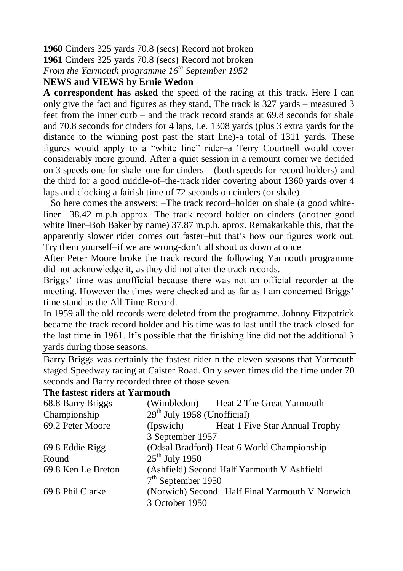**1960** Cinders 325 yards 70.8 (secs) Record not broken

**1961** Cinders 325 yards 70.8 (secs) Record not broken

*From the Yarmouth programme 16th September 1952*

#### **NEWS and VIEWS by Ernie Wedon**

**A correspondent has asked** the speed of the racing at this track. Here I can only give the fact and figures as they stand, The track is 327 yards – measured 3 feet from the inner curb – and the track record stands at 69.8 seconds for shale and 70.8 seconds for cinders for 4 laps, i.e. 1308 yards (plus 3 extra yards for the distance to the winning post past the start line)-a total of 1311 yards. These figures would apply to a "white line" rider–a Terry Courtnell would cover considerably more ground. After a quiet session in a remount corner we decided on 3 speeds one for shale–one for cinders – (both speeds for record holders)-and the third for a good middle-of–the-track rider covering about 1360 yards over 4 laps and clocking a fairish time of 72 seconds on cinders (or shale)

 So here comes the answers; –The track record–holder on shale (a good whiteliner– 38.42 m.p.h approx. The track record holder on cinders (another good white liner–Bob Baker by name) 37.87 m.p.h. aprox. Remakarkable this, that the apparently slower rider comes out faster–but that's how our figures work out. Try them yourself–if we are wrong-don't all shout us down at once

After Peter Moore broke the track record the following Yarmouth programme did not acknowledge it, as they did not alter the track records.

Briggs' time was unofficial because there was not an official recorder at the meeting. However the times were checked and as far as I am concerned Briggs' time stand as the All Time Record.

In 1959 all the old records were deleted from the programme. Johnny Fitzpatrick became the track record holder and his time was to last until the track closed for the last time in 1961. It's possible that the finishing line did not the additional 3 yards during those seasons.

Barry Briggs was certainly the fastest rider n the eleven seasons that Yarmouth staged Speedway racing at Caister Road. Only seven times did the time under 70 seconds and Barry recorded three of those seven.

#### **The fastest riders at Yarmouth**

| 68.8 Barry Briggs  |                                            | (Wimbledon) Heat 2 The Great Yarmouth          |  |  |
|--------------------|--------------------------------------------|------------------------------------------------|--|--|
| Championship       | $29th$ July 1958 (Unofficial)              |                                                |  |  |
| 69.2 Peter Moore   |                                            | (Ipswich) Heat 1 Five Star Annual Trophy       |  |  |
|                    | 3 September 1957                           |                                                |  |  |
| 69.8 Eddie Rigg    | (Odsal Bradford) Heat 6 World Championship |                                                |  |  |
| Round              | $25th$ July 1950                           |                                                |  |  |
| 69.8 Ken Le Breton | (Ashfield) Second Half Yarmouth V Ashfield |                                                |  |  |
|                    | $7th$ September 1950                       |                                                |  |  |
| 69.8 Phil Clarke   |                                            | (Norwich) Second Half Final Yarmouth V Norwich |  |  |
|                    | 3 October 1950                             |                                                |  |  |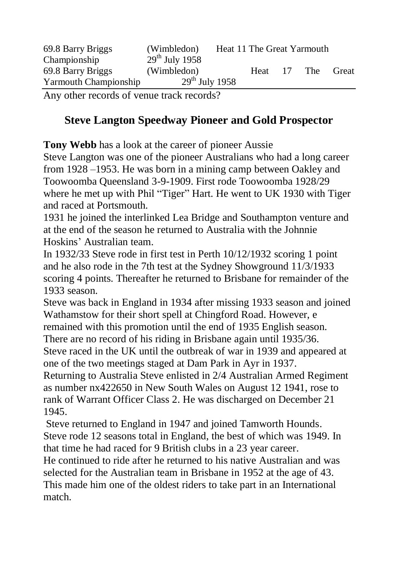| 69.8 Barry Briggs                 | (Wimbledon)                     | Heat 11 The Great Yarmouth |      |     |            |       |
|-----------------------------------|---------------------------------|----------------------------|------|-----|------------|-------|
| Championship<br>69.8 Barry Briggs | $29th$ July 1958<br>(Wimbledon) |                            | Heat | -17 | <b>The</b> | Great |
| Yarmouth Championship             | $29th$ July 1958                |                            |      |     |            |       |

Any other records of venue track records?

## **Steve Langton Speedway Pioneer and Gold Prospector**

**Tony Webb** has a look at the career of pioneer Aussie

Steve Langton was one of the pioneer Australians who had a long career from 1928 –1953. He was born in a mining camp between Oakley and Toowoomba Queensland 3-9-1909. First rode Toowoomba 1928/29 where he met up with Phil "Tiger" Hart. He went to UK 1930 with Tiger and raced at Portsmouth.

1931 he joined the interlinked Lea Bridge and Southampton venture and at the end of the season he returned to Australia with the Johnnie Hoskins' Australian team.

In 1932/33 Steve rode in first test in Perth 10/12/1932 scoring 1 point and he also rode in the 7th test at the Sydney Showground 11/3/1933 scoring 4 points. Thereafter he returned to Brisbane for remainder of the 1933 season.

Steve was back in England in 1934 after missing 1933 season and joined Wathamstow for their short spell at Chingford Road. However, e remained with this promotion until the end of 1935 English season.

There are no record of his riding in Brisbane again until 1935/36. Steve raced in the UK until the outbreak of war in 1939 and appeared at

one of the two meetings staged at Dam Park in Ayr in 1937.

Returning to Australia Steve enlisted in 2/4 Australian Armed Regiment as number nx422650 in New South Wales on August 12 1941, rose to rank of Warrant Officer Class 2. He was discharged on December 21 1945.

Steve returned to England in 1947 and joined Tamworth Hounds. Steve rode 12 seasons total in England, the best of which was 1949. In that time he had raced for 9 British clubs in a 23 year career.

He continued to ride after he returned to his native Australian and was selected for the Australian team in Brisbane in 1952 at the age of 43. This made him one of the oldest riders to take part in an International match.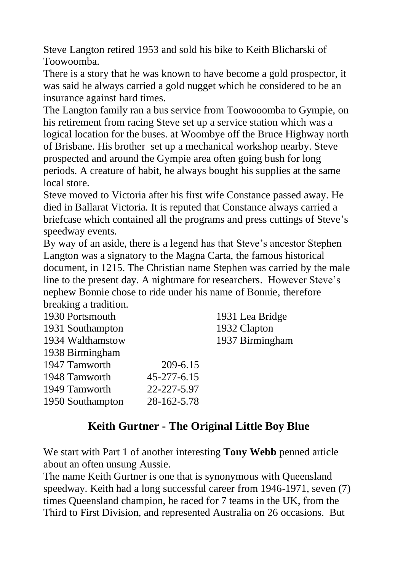Steve Langton retired 1953 and sold his bike to Keith Blicharski of Toowoomba.

There is a story that he was known to have become a gold prospector, it was said he always carried a gold nugget which he considered to be an insurance against hard times.

The Langton family ran a bus service from Toowooomba to Gympie, on his retirement from racing Steve set up a service station which was a logical location for the buses. at Woombye off the Bruce Highway north of Brisbane. His brother set up a mechanical workshop nearby. Steve prospected and around the Gympie area often going bush for long periods. A creature of habit, he always bought his supplies at the same local store.

Steve moved to Victoria after his first wife Constance passed away. He died in Ballarat Victoria. It is reputed that Constance always carried a briefcase which contained all the programs and press cuttings of Steve's speedway events.

By way of an aside, there is a legend has that Steve's ancestor Stephen Langton was a signatory to the Magna Carta, the famous historical document, in 1215. The Christian name Stephen was carried by the male line to the present day. A nightmare for researchers. However Steve's nephew Bonnie chose to ride under his name of Bonnie, therefore breaking a tradition.

| 1930 Portsmouth  |             | 1931 Lea Bridge |
|------------------|-------------|-----------------|
| 1931 Southampton |             | 1932 Clapton    |
| 1934 Walthamstow |             | 1937 Birmingham |
| 1938 Birmingham  |             |                 |
| 1947 Tamworth    | 209-6.15    |                 |
| 1948 Tamworth    | 45-277-6.15 |                 |
| 1949 Tamworth    | 22-227-5.97 |                 |
| 1950 Southampton | 28-162-5.78 |                 |
|                  |             |                 |

### **Keith Gurtner - The Original Little Boy Blue**

We start with Part 1 of another interesting **Tony Webb** penned article about an often unsung Aussie.

The name Keith Gurtner is one that is synonymous with Queensland speedway. Keith had a long successful career from 1946-1971, seven (7) times Queensland champion, he raced for 7 teams in the UK, from the Third to First Division, and represented Australia on 26 occasions. But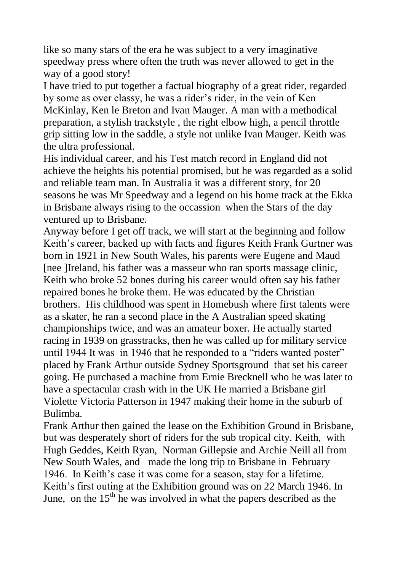like so many stars of the era he was subject to a very imaginative speedway press where often the truth was never allowed to get in the way of a good story!

I have tried to put together a factual biography of a great rider, regarded by some as over classy, he was a rider's rider, in the vein of Ken McKinlay, Ken le Breton and Ivan Mauger. A man with a methodical preparation, a stylish trackstyle , the right elbow high, a pencil throttle grip sitting low in the saddle, a style not unlike Ivan Mauger. Keith was the ultra professional.

His individual career, and his Test match record in England did not achieve the heights his potential promised, but he was regarded as a solid and reliable team man. In Australia it was a different story, for 20 seasons he was Mr Speedway and a legend on his home track at the Ekka in Brisbane always rising to the occassion when the Stars of the day ventured up to Brisbane.

Anyway before I get off track, we will start at the beginning and follow Keith's career, backed up with facts and figures Keith Frank Gurtner was born in 1921 in New South Wales, his parents were Eugene and Maud [nee ]Ireland, his father was a masseur who ran sports massage clinic, Keith who broke 52 bones during his career would often say his father repaired bones he broke them. He was educated by the Christian brothers. His childhood was spent in Homebush where first talents were as a skater, he ran a second place in the A Australian speed skating championships twice, and was an amateur boxer. He actually started racing in 1939 on grasstracks, then he was called up for military service until 1944 It was in 1946 that he responded to a "riders wanted poster" placed by Frank Arthur outside Sydney Sportsground that set his career going. He purchased a machine from Ernie Brecknell who he was later to have a spectacular crash with in the UK He married a Brisbane girl Violette Victoria Patterson in 1947 making their home in the suburb of Bulimba.

Frank Arthur then gained the lease on the Exhibition Ground in Brisbane, but was desperately short of riders for the sub tropical city. Keith, with Hugh Geddes, Keith Ryan, Norman Gillepsie and Archie Neill all from New South Wales, and made the long trip to Brisbane in February 1946. In Keith's case it was come for a season, stay for a lifetime. Keith's first outing at the Exhibition ground was on 22 March 1946. In June, on the  $15<sup>th</sup>$  he was involved in what the papers described as the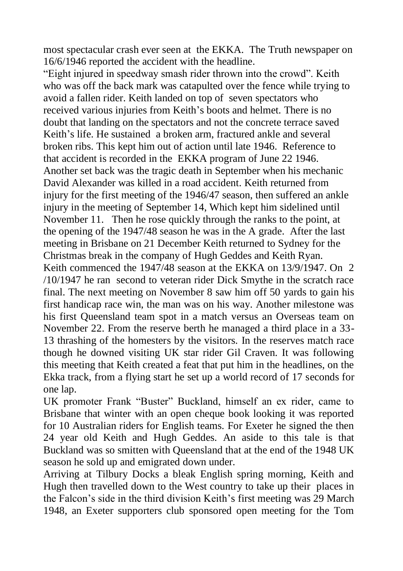most spectacular crash ever seen at the EKKA. The Truth newspaper on 16/6/1946 reported the accident with the headline.

"Eight injured in speedway smash rider thrown into the crowd". Keith who was off the back mark was catapulted over the fence while trying to avoid a fallen rider. Keith landed on top of seven spectators who received various injuries from Keith's boots and helmet. There is no doubt that landing on the spectators and not the concrete terrace saved Keith's life. He sustained a broken arm, fractured ankle and several broken ribs. This kept him out of action until late 1946. Reference to that accident is recorded in the EKKA program of June 22 1946. Another set back was the tragic death in September when his mechanic David Alexander was killed in a road accident. Keith returned from injury for the first meeting of the 1946/47 season, then suffered an ankle injury in the meeting of September 14, Which kept him sidelined until November 11. Then he rose quickly through the ranks to the point, at the opening of the 1947/48 season he was in the A grade. After the last meeting in Brisbane on 21 December Keith returned to Sydney for the Christmas break in the company of Hugh Geddes and Keith Ryan. Keith commenced the 1947/48 season at the EKKA on 13/9/1947. On 2 /10/1947 he ran second to veteran rider Dick Smythe in the scratch race final. The next meeting on November 8 saw him off 50 yards to gain his first handicap race win, the man was on his way. Another milestone was his first Queensland team spot in a match versus an Overseas team on November 22. From the reserve berth he managed a third place in a 33- 13 thrashing of the homesters by the visitors. In the reserves match race though he downed visiting UK star rider Gil Craven. It was following this meeting that Keith created a feat that put him in the headlines, on the Ekka track, from a flying start he set up a world record of 17 seconds for one lap.

UK promoter Frank "Buster" Buckland, himself an ex rider, came to Brisbane that winter with an open cheque book looking it was reported for 10 Australian riders for English teams. For Exeter he signed the then 24 year old Keith and Hugh Geddes. An aside to this tale is that Buckland was so smitten with Queensland that at the end of the 1948 UK season he sold up and emigrated down under.

Arriving at Tilbury Docks a bleak English spring morning, Keith and Hugh then travelled down to the West country to take up their places in the Falcon's side in the third division Keith's first meeting was 29 March 1948, an Exeter supporters club sponsored open meeting for the Tom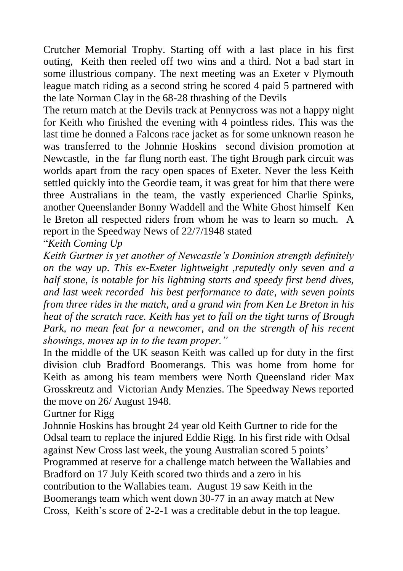Crutcher Memorial Trophy. Starting off with a last place in his first outing, Keith then reeled off two wins and a third. Not a bad start in some illustrious company. The next meeting was an Exeter v Plymouth league match riding as a second string he scored 4 paid 5 partnered with the late Norman Clay in the 68-28 thrashing of the Devils

The return match at the Devils track at Pennycross was not a happy night for Keith who finished the evening with 4 pointless rides. This was the last time he donned a Falcons race jacket as for some unknown reason he was transferred to the Johnnie Hoskins second division promotion at Newcastle, in the far flung north east. The tight Brough park circuit was worlds apart from the racy open spaces of Exeter. Never the less Keith settled quickly into the Geordie team, it was great for him that there were three Australians in the team, the vastly experienced Charlie Spinks, another Queenslander Bonny Waddell and the White Ghost himself Ken le Breton all respected riders from whom he was to learn so much. A report in the Speedway News of 22/7/1948 stated

"*Keith Coming Up*

*Keith Gurtner is yet another of Newcastle's Dominion strength definitely on the way up. This ex-Exeter lightweight ,reputedly only seven and a half stone, is notable for his lightning starts and speedy first bend dives, and last week recorded his best performance to date*, *with seven points from three rides in the match, and a grand win from Ken Le Breton in his heat of the scratch race. Keith has yet to fall on the tight turns of Brough Park, no mean feat for a newcomer, and on the strength of his recent showings, moves up in to the team proper."*

In the middle of the UK season Keith was called up for duty in the first division club Bradford Boomerangs. This was home from home for Keith as among his team members were North Queensland rider Max Grosskreutz and Victorian Andy Menzies. The Speedway News reported the move on 26/ August 1948.

Gurtner for Rigg

Johnnie Hoskins has brought 24 year old Keith Gurtner to ride for the Odsal team to replace the injured Eddie Rigg. In his first ride with Odsal against New Cross last week, the young Australian scored 5 points' Programmed at reserve for a challenge match between the Wallabies and Bradford on 17 July Keith scored two thirds and a zero in his contribution to the Wallabies team. August 19 saw Keith in the Boomerangs team which went down 30-77 in an away match at New Cross, Keith's score of 2-2-1 was a creditable debut in the top league.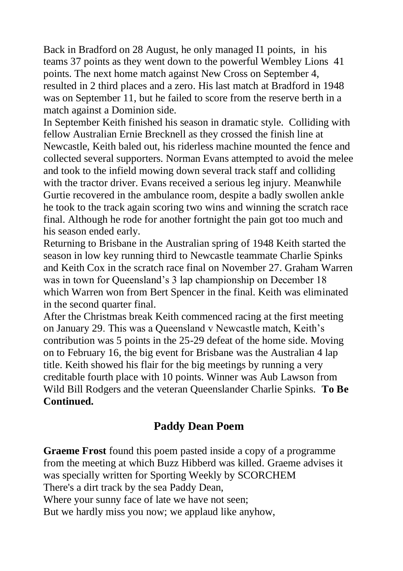Back in Bradford on 28 August, he only managed I1 points, in his teams 37 points as they went down to the powerful Wembley Lions 41 points. The next home match against New Cross on September 4, resulted in 2 third places and a zero. His last match at Bradford in 1948 was on September 11, but he failed to score from the reserve berth in a match against a Dominion side.

In September Keith finished his season in dramatic style. Colliding with fellow Australian Ernie Brecknell as they crossed the finish line at Newcastle, Keith baled out, his riderless machine mounted the fence and collected several supporters. Norman Evans attempted to avoid the melee and took to the infield mowing down several track staff and colliding with the tractor driver. Evans received a serious leg injury. Meanwhile Gurtie recovered in the ambulance room, despite a badly swollen ankle he took to the track again scoring two wins and winning the scratch race final. Although he rode for another fortnight the pain got too much and his season ended early.

Returning to Brisbane in the Australian spring of 1948 Keith started the season in low key running third to Newcastle teammate Charlie Spinks and Keith Cox in the scratch race final on November 27. Graham Warren was in town for Queensland's 3 lap championship on December 18 which Warren won from Bert Spencer in the final. Keith was eliminated in the second quarter final.

After the Christmas break Keith commenced racing at the first meeting on January 29. This was a Queensland v Newcastle match, Keith's contribution was 5 points in the 25-29 defeat of the home side. Moving on to February 16, the big event for Brisbane was the Australian 4 lap title. Keith showed his flair for the big meetings by running a very creditable fourth place with 10 points. Winner was Aub Lawson from Wild Bill Rodgers and the veteran Queenslander Charlie Spinks. **To Be Continued.**

### **Paddy Dean Poem**

**Graeme Frost** found this poem pasted inside a copy of a programme from the meeting at which Buzz Hibberd was killed. Graeme advises it was specially written for Sporting Weekly by SCORCHEM There's a dirt track by the sea Paddy Dean, Where your sunny face of late we have not seen; But we hardly miss you now; we applaud like anyhow,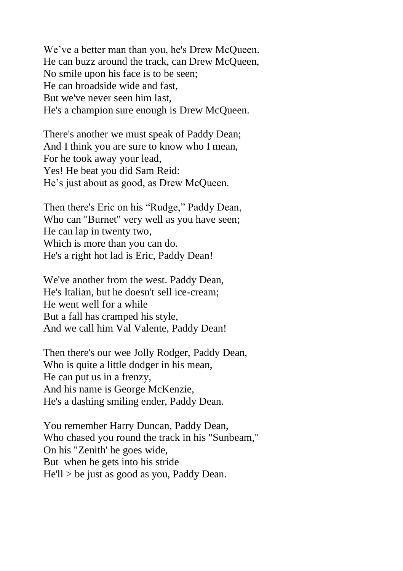We've a better man than you, he's Drew McQueen. He can buzz around the track, can Drew McQueen, No smile upon his face is to be seen; He can broadside wide and fast, But we've never seen him last, He's a champion sure enough is Drew McQueen.

There's another we must speak of Paddy Dean; And I think you are sure to know who I mean, For he took away your lead, Yes! He beat you did Sam Reid: He's just about as good, as Drew McQueen.

Then there's Eric on his "Rudge," Paddy Dean, Who can "Burnet" very well as you have seen; He can lap in twenty two, Which is more than you can do. He's a right hot lad is Eric, Paddy Dean!

We've another from the west. Paddy Dean, He's Italian, but he doesn't sell ice-cream; He went well for a while But a fall has cramped his style, And we call him Val Valente, Paddy Dean!

Then there's our wee Jolly Rodger, Paddy Dean, Who is quite a little dodger in his mean, He can put us in a frenzy, And his name is George McKenzie, He's a dashing smiling ender, Paddy Dean.

You remember Harry Duncan, Paddy Dean, Who chased you round the track in his "Sunbeam," On his "Zenith' he goes wide, But when he gets into his stride He'll > be just as good as you, Paddy Dean.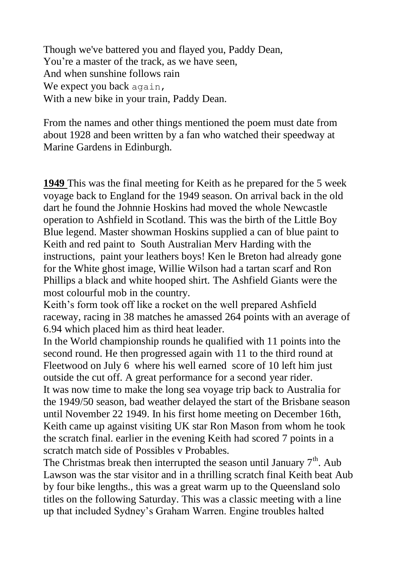Though we've battered you and flayed you, Paddy Dean, You're a master of the track, as we have seen, And when sunshine follows rain We expect you back again, With a new bike in your train, Paddy Dean.

From the names and other things mentioned the poem must date from about 1928 and been written by a fan who watched their speedway at Marine Gardens in Edinburgh.

**1949** This was the final meeting for Keith as he prepared for the 5 week voyage back to England for the 1949 season. On arrival back in the old dart he found the Johnnie Hoskins had moved the whole Newcastle operation to Ashfield in Scotland. This was the birth of the Little Boy Blue legend. Master showman Hoskins supplied a can of blue paint to Keith and red paint to South Australian Merv Harding with the instructions, paint your leathers boys! Ken le Breton had already gone for the White ghost image, Willie Wilson had a tartan scarf and Ron Phillips a black and white hooped shirt. The Ashfield Giants were the most colourful mob in the country.

Keith's form took off like a rocket on the well prepared Ashfield raceway, racing in 38 matches he amassed 264 points with an average of 6.94 which placed him as third heat leader.

In the World championship rounds he qualified with 11 points into the second round. He then progressed again with 11 to the third round at Fleetwood on July 6 where his well earned score of 10 left him just outside the cut off. A great performance for a second year rider. It was now time to make the long sea voyage trip back to Australia for the 1949/50 season, bad weather delayed the start of the Brisbane season until November 22 1949. In his first home meeting on December 16th, Keith came up against visiting UK star Ron Mason from whom he took the scratch final. earlier in the evening Keith had scored 7 points in a scratch match side of Possibles v Probables.

The Christmas break then interrupted the season until January  $7<sup>th</sup>$ . Aub Lawson was the star visitor and in a thrilling scratch final Keith beat Aub by four bike lengths., this was a great warm up to the Queensland solo titles on the following Saturday. This was a classic meeting with a line up that included Sydney's Graham Warren. Engine troubles halted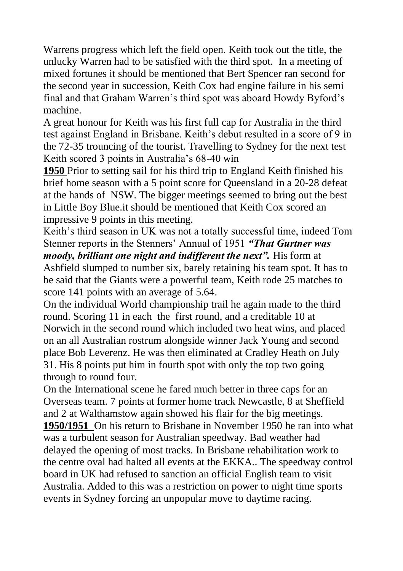Warrens progress which left the field open. Keith took out the title, the unlucky Warren had to be satisfied with the third spot. In a meeting of mixed fortunes it should be mentioned that Bert Spencer ran second for the second year in succession, Keith Cox had engine failure in his semi final and that Graham Warren's third spot was aboard Howdy Byford's machine.

A great honour for Keith was his first full cap for Australia in the third test against England in Brisbane. Keith's debut resulted in a score of 9 in the 72-35 trouncing of the tourist. Travelling to Sydney for the next test Keith scored 3 points in Australia's 68-40 win

**1950** Prior to setting sail for his third trip to England Keith finished his brief home season with a 5 point score for Queensland in a 20-28 defeat at the hands of NSW. The bigger meetings seemed to bring out the best in Little Boy Blue.it should be mentioned that Keith Cox scored an impressive 9 points in this meeting.

Keith's third season in UK was not a totally successful time, indeed Tom Stenner reports in the Stenners' Annual of 1951 *"That Gurtner was moody, brilliant one night and indifferent the next".* His form at Ashfield slumped to number six, barely retaining his team spot. It has to be said that the Giants were a powerful team, Keith rode 25 matches to score 141 points with an average of 5.64.

On the individual World championship trail he again made to the third round. Scoring 11 in each the first round, and a creditable 10 at Norwich in the second round which included two heat wins, and placed on an all Australian rostrum alongside winner Jack Young and second place Bob Leverenz. He was then eliminated at Cradley Heath on July 31. His 8 points put him in fourth spot with only the top two going through to round four.

On the International scene he fared much better in three caps for an Overseas team. 7 points at former home track Newcastle, 8 at Sheffield and 2 at Walthamstow again showed his flair for the big meetings. **1950/1951** On his return to Brisbane in November 1950 he ran into what was a turbulent season for Australian speedway. Bad weather had delayed the opening of most tracks. In Brisbane rehabilitation work to the centre oval had halted all events at the EKKA.. The speedway control board in UK had refused to sanction an official English team to visit Australia. Added to this was a restriction on power to night time sports events in Sydney forcing an unpopular move to daytime racing.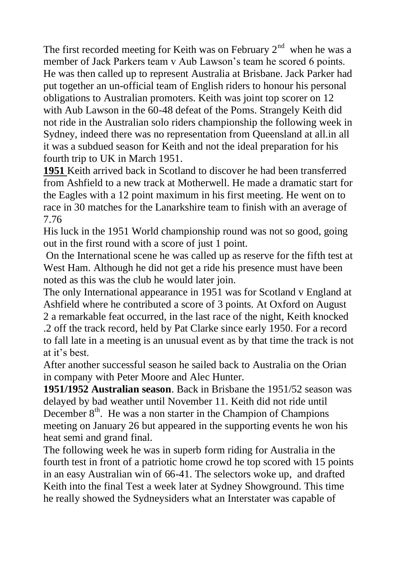The first recorded meeting for Keith was on February  $2<sup>nd</sup>$  when he was a member of Jack Parkers team v Aub Lawson's team he scored 6 points. He was then called up to represent Australia at Brisbane. Jack Parker had put together an un-official team of English riders to honour his personal obligations to Australian promoters. Keith was joint top scorer on 12 with Aub Lawson in the 60-48 defeat of the Poms. Strangely Keith did not ride in the Australian solo riders championship the following week in Sydney, indeed there was no representation from Queensland at all.in all it was a subdued season for Keith and not the ideal preparation for his fourth trip to UK in March 1951.

**1951** Keith arrived back in Scotland to discover he had been transferred from Ashfield to a new track at Motherwell. He made a dramatic start for the Eagles with a 12 point maximum in his first meeting. He went on to race in 30 matches for the Lanarkshire team to finish with an average of 7.76

His luck in the 1951 World championship round was not so good, going out in the first round with a score of just 1 point.

On the International scene he was called up as reserve for the fifth test at West Ham. Although he did not get a ride his presence must have been noted as this was the club he would later join.

The only International appearance in 1951 was for Scotland v England at Ashfield where he contributed a score of 3 points. At Oxford on August 2 a remarkable feat occurred, in the last race of the night, Keith knocked .2 off the track record, held by Pat Clarke since early 1950. For a record to fall late in a meeting is an unusual event as by that time the track is not at it's best.

After another successful season he sailed back to Australia on the Orian in company with Peter Moore and Alec Hunter.

**1951/1952 Australian season**. Back in Brisbane the 1951/52 season was delayed by bad weather until November 11. Keith did not ride until December  $8<sup>th</sup>$ . He was a non starter in the Champion of Champions meeting on January 26 but appeared in the supporting events he won his heat semi and grand final.

The following week he was in superb form riding for Australia in the fourth test in front of a patriotic home crowd he top scored with 15 points in an easy Australian win of 66-41. The selectors woke up, and drafted Keith into the final Test a week later at Sydney Showground. This time he really showed the Sydneysiders what an Interstater was capable of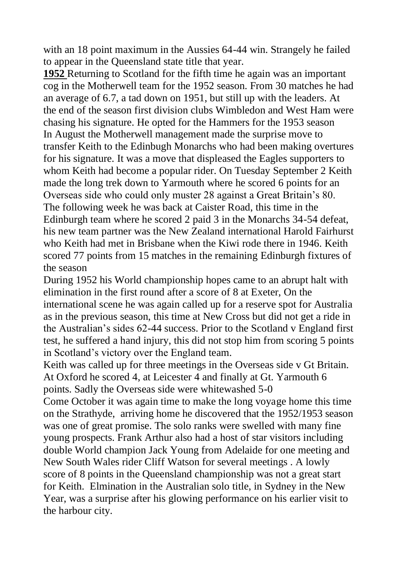with an 18 point maximum in the Aussies 64-44 win. Strangely he failed to appear in the Queensland state title that year.

**1952** Returning to Scotland for the fifth time he again was an important cog in the Motherwell team for the 1952 season. From 30 matches he had an average of 6.7, a tad down on 1951, but still up with the leaders. At the end of the season first division clubs Wimbledon and West Ham were chasing his signature. He opted for the Hammers for the 1953 season In August the Motherwell management made the surprise move to transfer Keith to the Edinbugh Monarchs who had been making overtures for his signature. It was a move that displeased the Eagles supporters to whom Keith had become a popular rider. On Tuesday September 2 Keith made the long trek down to Yarmouth where he scored 6 points for an Overseas side who could only muster 28 against a Great Britain's 80. The following week he was back at Caister Road, this time in the Edinburgh team where he scored 2 paid 3 in the Monarchs 34-54 defeat, his new team partner was the New Zealand international Harold Fairhurst who Keith had met in Brisbane when the Kiwi rode there in 1946. Keith scored 77 points from 15 matches in the remaining Edinburgh fixtures of the season

During 1952 his World championship hopes came to an abrupt halt with elimination in the first round after a score of 8 at Exeter, On the international scene he was again called up for a reserve spot for Australia as in the previous season, this time at New Cross but did not get a ride in the Australian's sides 62-44 success. Prior to the Scotland v England first test, he suffered a hand injury, this did not stop him from scoring 5 points in Scotland's victory over the England team.

Keith was called up for three meetings in the Overseas side v Gt Britain. At Oxford he scored 4, at Leicester 4 and finally at Gt. Yarmouth 6 points. Sadly the Overseas side were whitewashed 5-0

Come October it was again time to make the long voyage home this time on the Strathyde, arriving home he discovered that the 1952/1953 season was one of great promise. The solo ranks were swelled with many fine young prospects. Frank Arthur also had a host of star visitors including double World champion Jack Young from Adelaide for one meeting and New South Wales rider Cliff Watson for several meetings . A lowly score of 8 points in the Queensland championship was not a great start for Keith. Elmination in the Australian solo title, in Sydney in the New Year, was a surprise after his glowing performance on his earlier visit to the harbour city.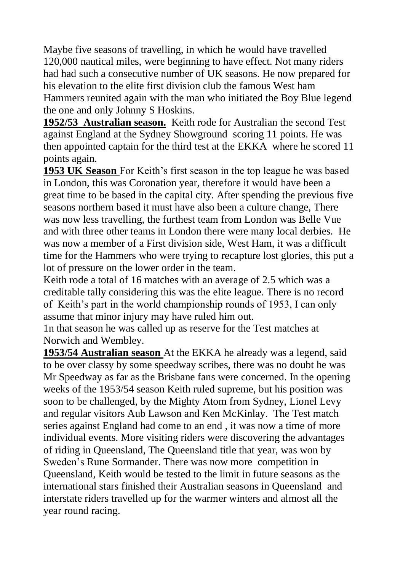Maybe five seasons of travelling, in which he would have travelled 120,000 nautical miles, were beginning to have effect. Not many riders had had such a consecutive number of UK seasons. He now prepared for his elevation to the elite first division club the famous West ham Hammers reunited again with the man who initiated the Boy Blue legend the one and only Johnny S Hoskins.

**1952/53 Australian season.** Keith rode for Australian the second Test against England at the Sydney Showground scoring 11 points. He was then appointed captain for the third test at the EKKA where he scored 11 points again.

**1953 UK Season** For Keith's first season in the top league he was based in London, this was Coronation year, therefore it would have been a great time to be based in the capital city. After spending the previous five seasons northern based it must have also been a culture change, There was now less travelling, the furthest team from London was Belle Vue and with three other teams in London there were many local derbies. He was now a member of a First division side, West Ham, it was a difficult time for the Hammers who were trying to recapture lost glories, this put a lot of pressure on the lower order in the team.

Keith rode a total of 16 matches with an average of 2.5 which was a creditable tally considering this was the elite league. There is no record of Keith's part in the world championship rounds of 1953, I can only assume that minor injury may have ruled him out.

1n that season he was called up as reserve for the Test matches at Norwich and Wembley.

**1953/54 Australian season** At the EKKA he already was a legend, said to be over classy by some speedway scribes, there was no doubt he was Mr Speedway as far as the Brisbane fans were concerned. In the opening weeks of the 1953/54 season Keith ruled supreme, but his position was soon to be challenged, by the Mighty Atom from Sydney, Lionel Levy and regular visitors Aub Lawson and Ken McKinlay. The Test match series against England had come to an end , it was now a time of more individual events. More visiting riders were discovering the advantages of riding in Queensland, The Queensland title that year, was won by Sweden's Rune Sormander. There was now more competition in Queensland, Keith would be tested to the limit in future seasons as the international stars finished their Australian seasons in Queensland and interstate riders travelled up for the warmer winters and almost all the year round racing.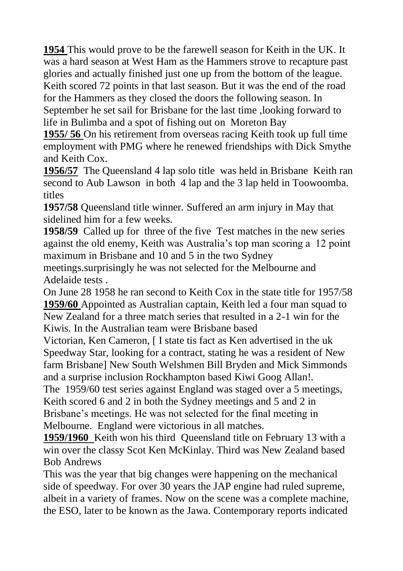**1954** This would prove to be the farewell season for Keith in the UK. It was a hard season at West Ham as the Hammers strove to recapture past glories and actually finished just one up from the bottom of the league. Keith scored 72 points in that last season. But it was the end of the road for the Hammers as they closed the doors the following season. In September he set sail for Brisbane for the last time ,looking forward to life in Bulimba and a spot of fishing out on Moreton Bay

**1955/ 56** On his retirement from overseas racing Keith took up full time employment with PMG where he renewed friendships with Dick Smythe and Keith Cox.

**1956/57** The Queensland 4 lap solo title was held in Brisbane Keith ran second to Aub Lawson in both 4 lap and the 3 lap held in Toowoomba. titles

**1957/58** Queensland title winner. Suffered an arm injury in May that sidelined him for a few weeks.

**1958/59** Called up for three of the five Test matches in the new series against the old enemy, Keith was Australia's top man scoring a 12 point maximum in Brisbane and 10 and 5 in the two Sydney

meetings.surprisingly he was not selected for the Melbourne and Adelaide tests .

On June 28 1958 he ran second to Keith Cox in the state title for 1957/58 **1959/60** Appointed as Australian captain, Keith led a four man squad to New Zealand for a three match series that resulted in a 2-1 win for the Kiwis. In the Australian team were Brisbane based

Victorian, Ken Cameron, [ I state tis fact as Ken advertised in the uk Speedway Star, looking for a contract, stating he was a resident of New farm Brisbane] New South Welshmen Bill Bryden and Mick Simmonds and a surprise inclusion Rockhampton based Kiwi Goog Allan!.

The 1959/60 test series against England was staged over a 5 meetings, Keith scored 6 and 2 in both the Sydney meetings and 5 and 2 in Brisbane's meetings. He was not selected for the final meeting in Melbourne. England were victorious in all matches.

**1959/1960** Keith won his third Queensland title on February 13 with a win over the classy Scot Ken McKinlay. Third was New Zealand based Bob Andrews

This was the year that big changes were happening on the mechanical side of speedway. For over 30 years the JAP engine had ruled supreme, albeit in a variety of frames. Now on the scene was a complete machine, the ESO, later to be known as the Jawa. Contemporary reports indicated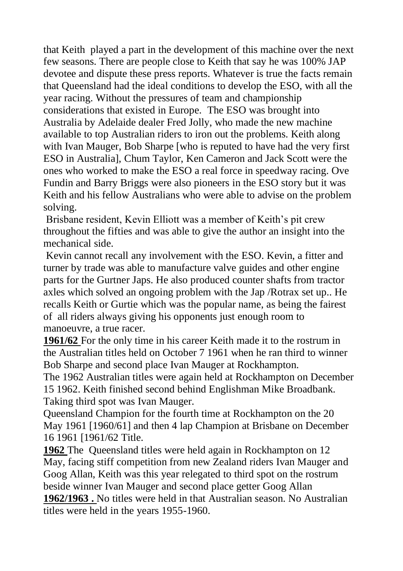that Keith played a part in the development of this machine over the next few seasons. There are people close to Keith that say he was 100% JAP devotee and dispute these press reports. Whatever is true the facts remain that Queensland had the ideal conditions to develop the ESO, with all the year racing. Without the pressures of team and championship considerations that existed in Europe. The ESO was brought into Australia by Adelaide dealer Fred Jolly, who made the new machine available to top Australian riders to iron out the problems. Keith along with Ivan Mauger, Bob Sharpe [who is reputed to have had the very first ESO in Australia], Chum Taylor, Ken Cameron and Jack Scott were the ones who worked to make the ESO a real force in speedway racing. Ove Fundin and Barry Briggs were also pioneers in the ESO story but it was Keith and his fellow Australians who were able to advise on the problem solving.

Brisbane resident, Kevin Elliott was a member of Keith's pit crew throughout the fifties and was able to give the author an insight into the mechanical side.

Kevin cannot recall any involvement with the ESO. Kevin, a fitter and turner by trade was able to manufacture valve guides and other engine parts for the Gurtner Japs. He also produced counter shafts from tractor axles which solved an ongoing problem with the Jap /Rotrax set up.. He recalls Keith or Gurtie which was the popular name, as being the fairest of all riders always giving his opponents just enough room to manoeuvre, a true racer.

**1961/62** For the only time in his career Keith made it to the rostrum in the Australian titles held on October 7 1961 when he ran third to winner Bob Sharpe and second place Ivan Mauger at Rockhampton.

The 1962 Australian titles were again held at Rockhampton on December 15 1962. Keith finished second behind Englishman Mike Broadbank. Taking third spot was Ivan Mauger.

Queensland Champion for the fourth time at Rockhampton on the 20 May 1961 [1960/61] and then 4 lap Champion at Brisbane on December 16 1961 [1961/62 Title.

**1962** The Queensland titles were held again in Rockhampton on 12 May, facing stiff competition from new Zealand riders Ivan Mauger and Goog Allan, Keith was this year relegated to third spot on the rostrum beside winner Ivan Mauger and second place getter Goog Allan

**1962/1963 .** No titles were held in that Australian season. No Australian titles were held in the years 1955-1960.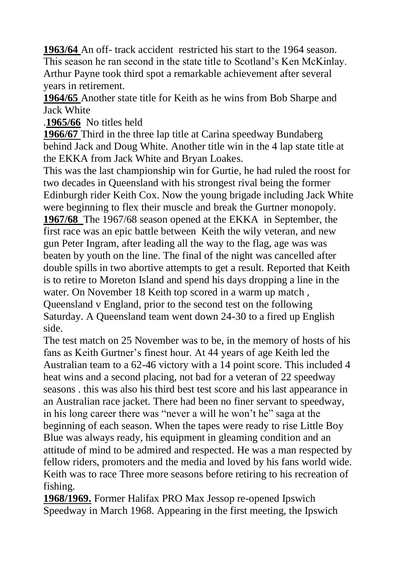**1963/64** An off- track accident restricted his start to the 1964 season. This season he ran second in the state title to Scotland's Ken McKinlay. Arthur Payne took third spot a remarkable achievement after several years in retirement.

**1964/65** Another state title for Keith as he wins from Bob Sharpe and Jack White

.**1965/66** No titles held

**1966/67** Third in the three lap title at Carina speedway Bundaberg behind Jack and Doug White. Another title win in the 4 lap state title at the EKKA from Jack White and Bryan Loakes.

This was the last championship win for Gurtie, he had ruled the roost for two decades in Queensland with his strongest rival being the former Edinburgh rider Keith Cox. Now the young brigade including Jack White were beginning to flex their muscle and break the Gurtner monopoly.

**1967/68** The 1967/68 season opened at the EKKA in September, the first race was an epic battle between Keith the wily veteran, and new gun Peter Ingram, after leading all the way to the flag, age was was beaten by youth on the line. The final of the night was cancelled after double spills in two abortive attempts to get a result. Reported that Keith is to retire to Moreton Island and spend his days dropping a line in the water. On November 18 Keith top scored in a warm up match , Queensland v England, prior to the second test on the following Saturday. A Queensland team went down 24-30 to a fired up English side.

The test match on 25 November was to be, in the memory of hosts of his fans as Keith Gurtner's finest hour. At 44 years of age Keith led the Australian team to a 62-46 victory with a 14 point score. This included 4 heat wins and a second placing, not bad for a veteran of 22 speedway seasons . this was also his third best test score and his last appearance in an Australian race jacket. There had been no finer servant to speedway, in his long career there was "never a will he won't he" saga at the beginning of each season. When the tapes were ready to rise Little Boy Blue was always ready, his equipment in gleaming condition and an attitude of mind to be admired and respected. He was a man respected by fellow riders, promoters and the media and loved by his fans world wide. Keith was to race Three more seasons before retiring to his recreation of fishing.

**1968/1969.** Former Halifax PRO Max Jessop re-opened Ipswich Speedway in March 1968. Appearing in the first meeting, the Ipswich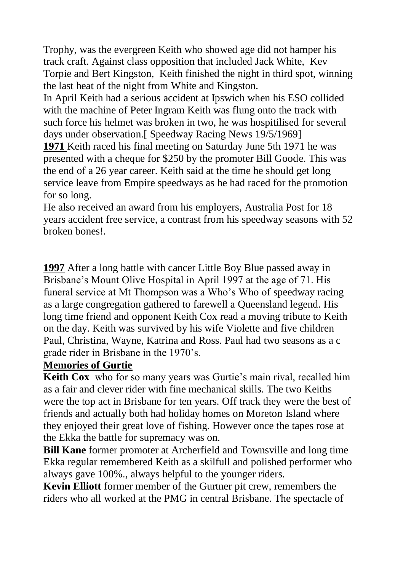Trophy, was the evergreen Keith who showed age did not hamper his track craft. Against class opposition that included Jack White, Kev Torpie and Bert Kingston, Keith finished the night in third spot, winning the last heat of the night from White and Kingston.

In April Keith had a serious accident at Ipswich when his ESO collided with the machine of Peter Ingram Keith was flung onto the track with such force his helmet was broken in two, he was hospitilised for several days under observation.[ Speedway Racing News 19/5/1969]

**1971** Keith raced his final meeting on Saturday June 5th 1971 he was presented with a cheque for \$250 by the promoter Bill Goode. This was the end of a 26 year career. Keith said at the time he should get long service leave from Empire speedways as he had raced for the promotion for so long.

He also received an award from his employers, Australia Post for 18 years accident free service, a contrast from his speedway seasons with 52 broken bones!.

**1997** After a long battle with cancer Little Boy Blue passed away in Brisbane's Mount Olive Hospital in April 1997 at the age of 71. His funeral service at Mt Thompson was a Who's Who of speedway racing as a large congregation gathered to farewell a Queensland legend. His long time friend and opponent Keith Cox read a moving tribute to Keith on the day. Keith was survived by his wife Violette and five children Paul, Christina, Wayne, Katrina and Ross. Paul had two seasons as a c grade rider in Brisbane in the 1970's.

### **Memories of Gurtie**

**Keith Cox** who for so many years was Gurtie's main rival, recalled him as a fair and clever rider with fine mechanical skills. The two Keiths were the top act in Brisbane for ten years. Off track they were the best of friends and actually both had holiday homes on Moreton Island where they enjoyed their great love of fishing. However once the tapes rose at the Ekka the battle for supremacy was on.

**Bill Kane** former promoter at Archerfield and Townsville and long time Ekka regular remembered Keith as a skilfull and polished performer who always gave 100%., always helpful to the younger riders.

**Kevin Elliott** former member of the Gurtner pit crew, remembers the riders who all worked at the PMG in central Brisbane. The spectacle of